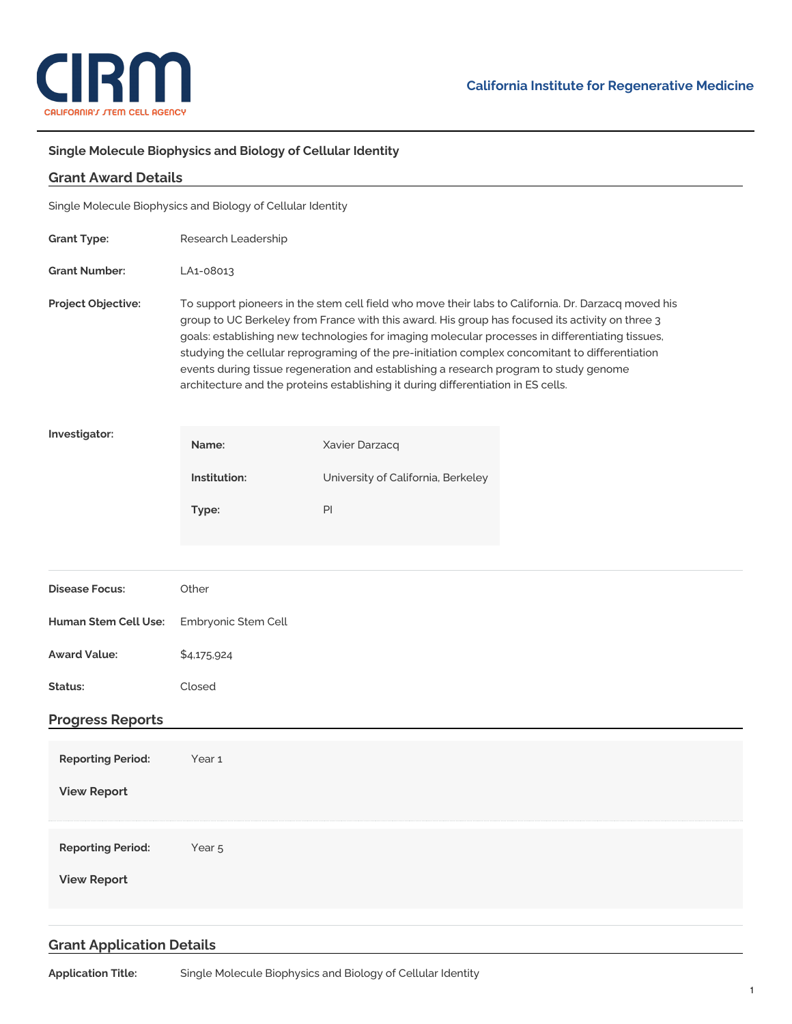

## **Single Molecule Biophysics and Biology of Cellular Identity**

| <b>Grant Award Details</b>                                  |                                                                                                                                                                                                                                                                                                                                                                                                                                                                                                                                                                                             |                                    |  |
|-------------------------------------------------------------|---------------------------------------------------------------------------------------------------------------------------------------------------------------------------------------------------------------------------------------------------------------------------------------------------------------------------------------------------------------------------------------------------------------------------------------------------------------------------------------------------------------------------------------------------------------------------------------------|------------------------------------|--|
| Single Molecule Biophysics and Biology of Cellular Identity |                                                                                                                                                                                                                                                                                                                                                                                                                                                                                                                                                                                             |                                    |  |
| <b>Grant Type:</b>                                          | Research Leadership                                                                                                                                                                                                                                                                                                                                                                                                                                                                                                                                                                         |                                    |  |
| <b>Grant Number:</b>                                        | LA1-08013                                                                                                                                                                                                                                                                                                                                                                                                                                                                                                                                                                                   |                                    |  |
| Project Objective:                                          | To support pioneers in the stem cell field who move their labs to California. Dr. Darzacq moved his<br>group to UC Berkeley from France with this award. His group has focused its activity on three 3<br>goals: establishing new technologies for imaging molecular processes in differentiating tissues,<br>studying the cellular reprograming of the pre-initiation complex concomitant to differentiation<br>events during tissue regeneration and establishing a research program to study genome<br>architecture and the proteins establishing it during differentiation in ES cells. |                                    |  |
| Investigator:                                               | Name:                                                                                                                                                                                                                                                                                                                                                                                                                                                                                                                                                                                       | Xavier Darzacq                     |  |
|                                                             | Institution:                                                                                                                                                                                                                                                                                                                                                                                                                                                                                                                                                                                | University of California, Berkeley |  |
|                                                             | Type:                                                                                                                                                                                                                                                                                                                                                                                                                                                                                                                                                                                       | PI                                 |  |
|                                                             |                                                                                                                                                                                                                                                                                                                                                                                                                                                                                                                                                                                             |                                    |  |
| <b>Disease Focus:</b>                                       | Other                                                                                                                                                                                                                                                                                                                                                                                                                                                                                                                                                                                       |                                    |  |
| Human Stem Cell Use:                                        | Embryonic Stem Cell                                                                                                                                                                                                                                                                                                                                                                                                                                                                                                                                                                         |                                    |  |
| <b>Award Value:</b>                                         | \$4,175,924                                                                                                                                                                                                                                                                                                                                                                                                                                                                                                                                                                                 |                                    |  |
| Status:                                                     | Closed                                                                                                                                                                                                                                                                                                                                                                                                                                                                                                                                                                                      |                                    |  |
| <b>Progress Reports</b>                                     |                                                                                                                                                                                                                                                                                                                                                                                                                                                                                                                                                                                             |                                    |  |
| <b>Reporting Period:</b>                                    | Year 1                                                                                                                                                                                                                                                                                                                                                                                                                                                                                                                                                                                      |                                    |  |
| <b>View Report</b>                                          |                                                                                                                                                                                                                                                                                                                                                                                                                                                                                                                                                                                             |                                    |  |
| <b>Reporting Period:</b>                                    | Year <sub>5</sub>                                                                                                                                                                                                                                                                                                                                                                                                                                                                                                                                                                           |                                    |  |
| <b>View Report</b>                                          |                                                                                                                                                                                                                                                                                                                                                                                                                                                                                                                                                                                             |                                    |  |
|                                                             |                                                                                                                                                                                                                                                                                                                                                                                                                                                                                                                                                                                             |                                    |  |

## **Grant Application Details**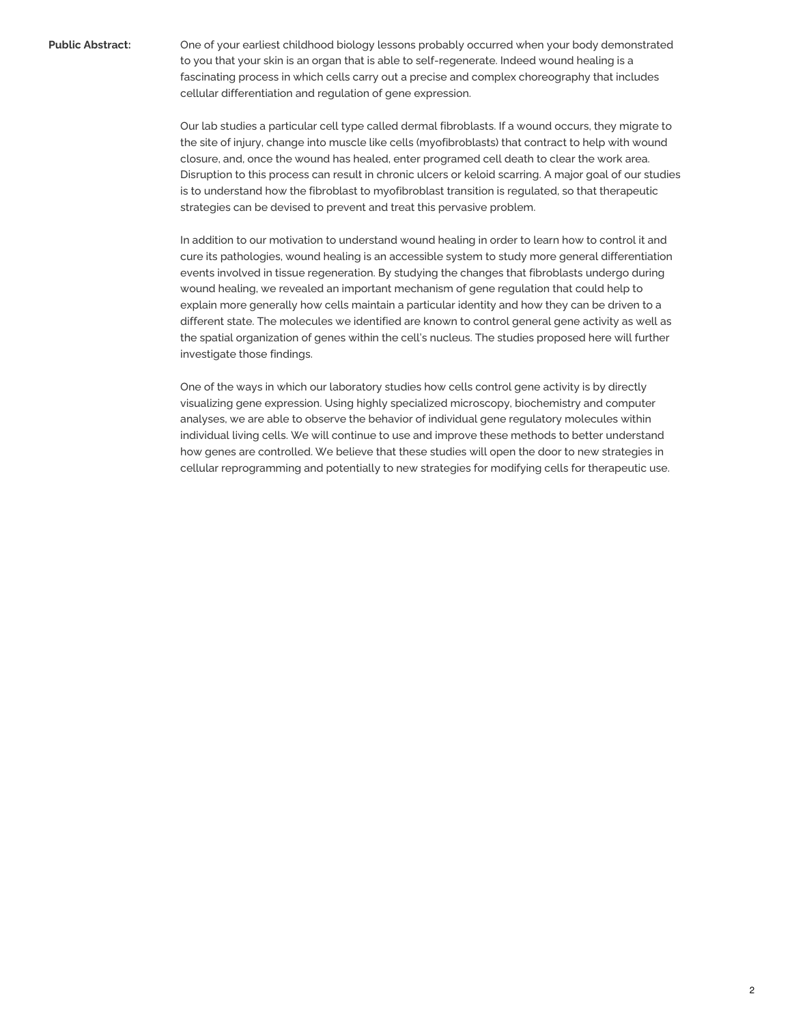**Public Abstract:** One of your earliest childhood biology lessons probably occurred when your body demonstrated to you that your skin is an organ that is able to self-regenerate. Indeed wound healing is a fascinating process in which cells carry out a precise and complex choreography that includes cellular differentiation and regulation of gene expression.

> Our lab studies a particular cell type called dermal fibroblasts. If a wound occurs, they migrate to the site of injury, change into muscle like cells (myofibroblasts) that contract to help with wound closure, and, once the wound has healed, enter programed cell death to clear the work area. Disruption to this process can result in chronic ulcers or keloid scarring. A major goal of our studies is to understand how the fibroblast to myofibroblast transition is regulated, so that therapeutic strategies can be devised to prevent and treat this pervasive problem.

In addition to our motivation to understand wound healing in order to learn how to control it and cure its pathologies, wound healing is an accessible system to study more general differentiation events involved in tissue regeneration. By studying the changes that fibroblasts undergo during wound healing, we revealed an important mechanism of gene regulation that could help to explain more generally how cells maintain a particular identity and how they can be driven to a different state. The molecules we identified are known to control general gene activity as well as the spatial organization of genes within the cell's nucleus. The studies proposed here will further investigate those findings.

One of the ways in which our laboratory studies how cells control gene activity is by directly visualizing gene expression. Using highly specialized microscopy, biochemistry and computer analyses, we are able to observe the behavior of individual gene regulatory molecules within individual living cells. We will continue to use and improve these methods to better understand how genes are controlled. We believe that these studies will open the door to new strategies in cellular reprogramming and potentially to new strategies for modifying cells for therapeutic use.